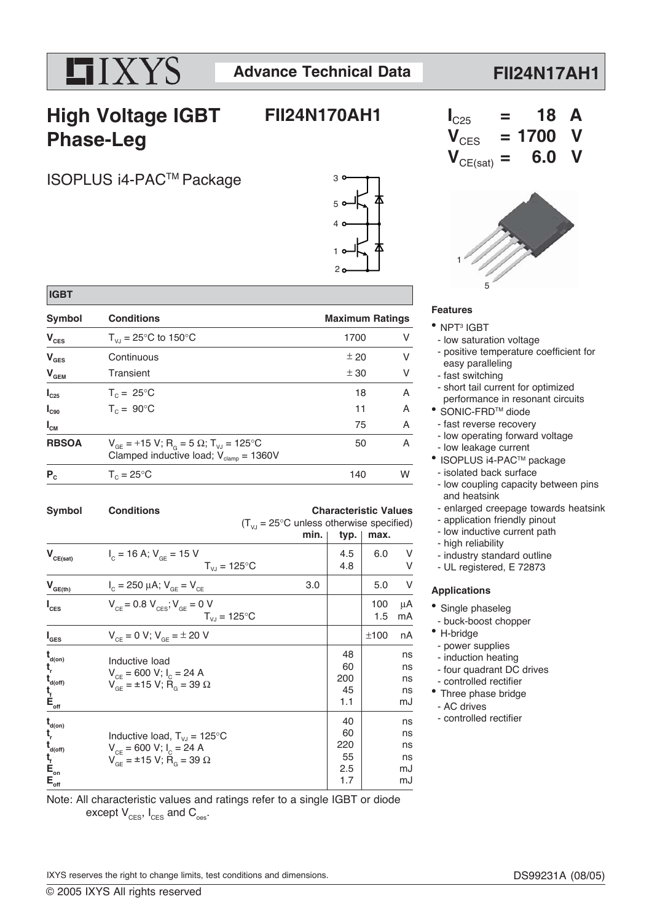# XYS

**FII24N170AH1**

### **FII24N17AH1**

# **High Voltage IGBT Phase-Leg**

**Symbol Conditions Conditions Conditions Conditions Conditions Conditions Conditions Conditions Conditions Conditions Conditions Conditions Conditions Conditions Conditions Conditions Conditions Conditions Conditions Condi**  $V_{\text{CES}}$   $T_{\text{VJ}} = 25^{\circ}\text{C}$  to 150°C 1700 V  $V_{\text{GES}}$  Continuous  $\pm 20$  V  $V_{\text{GEM}}$  Transient  $\pm 30$  V **I<sub>C25</sub>**  $T_c = 25^{\circ}$ C 18 A  $I_{C90}$   $T_C = 90^{\circ}$ C 11 A

Clamped inductive load;  $V_{\text{clamp}} = 1360V$ 

### ISOPLUS i4-PACTM Package

 **IGBT**

 $V_{CE(sat)}$ 

 $V_{GE(th)}$ 

**I**

**I**

 $\mathbf{t}_{\text{d}(on)}$ 

 $\mathbf{t}_{\text{d(off)}}$ 

 $\mathbf{t}_{\text{f}}^{\text{t}}$ 

 $\mathbf{t}_{\text{d}(on)}$ 

**t**

 $\mathbf{t}_{f}$ <sup>t</sup><sub>c</sub><sub>on</sub>

**t**

**t**







#### **Features**

- NPT<sup>3</sup> IGBT
- low saturation voltage
- positive temperature coefficient for easy paralleling
- fast switching
- short tail current for optimized
- performance in resonant circuits
- <sup>●</sup> SONIC-FRD<sup>™</sup> diode
- fast reverse recovery
- low operating forward voltage
- low leakage current
- <sup>●</sup> ISOPLUS i4-PAC<sup>™</sup> package
- isolated back surface
- low coupling capacity between pins and heatsink
- enlarged creepage towards heatsink
- application friendly pinout
- low inductive current path
- high reliability
- industry standard outline
- UL registered, E 72873

#### **Applications**

- Single phaseleg
- buck-boost chopper
- H-bridge
- 
- induction heating
- four quadrant DC drives
- controlled rectifier
- Three phase bridge
- 

Note: All characteristic values and ratings refer to a single IGBT or diode except  $V_{CES}$ ,  $I_{CES}$  and  $C_{\text{oes}}$ .

IXYS reserves the right to change limits, test conditions and dimensions.

- power supplies
- 
- 
- 
- AC drives
- controlled rectifier

 $I_{\text{cm}}$  75 A **RBSOA**  $V_{GE} = +15 V; R_{G} = 5 \Omega; T_{VJ} = 125°C$  50 A

 $(T_{\text{VJ}} = 25^{\circ} \text{C}$  unless otherwise specified)<br>min. | tvp. | max.

typ.

 $P_c$   $T_c = 25^{\circ}$ C 140 W Symbol Conditions **Conditions** Characteristic Values

 $I_c = 16 \text{ A}; V_{GE} = 15 \text{ V}$ <br> $T_{V} = 125^{\circ} \text{C}$   $4.8 \begin{bmatrix} 4.5 & 6.0 & \text{V} \\ 4.8 & \text{V} \end{bmatrix}$ 

 $I_c = 250 \mu A$ ;  $V_{GE} = V_{CE}$  3.0 5.0 V

 $V_{CE} = 0.8 V_{CES}$ ;  $V_{GE} = 0 V$ <br> $T_{VJ} = 125°C$  1.5 mA

 $V_{CF} = 0 \text{ V}; V_{GE} = \pm 20 \text{ V}$   $\pm 100 \text{ nA}$ 

 $T_{VJ}$  = 125 $^{\circ}$ C

 $T_{VJ}$  = 125 $^{\circ}$ C

d<sup>(on)</sup> and the load term in the load term in the load term in the load term in the load term in the load term in the load term in the load term in the load term in the load term in the load term in the load term in the lo

**r**  $V_{CE} = 600 V; I_C = 24 A$  and  $V_{CE} = 600 V; I_C = 24 A$ 

 $V_{CE} = 0.00 V, I_C = 24 V$ 

 $V_{GE} = \pm 15 \text{ V}; R_{G} = 39 \Omega$  1.3 ns **E<sub>off</sub>** 1.1 mJ

**d**(on) and the contract of the contract of the contract of the contract of the contract of the contract of the contract of the contract of the contract of the contract of the contract of the contract of the contract of th

**r inductive load,**  $T_{VJ} = 125^{\circ}C$  **<b>c**  $\begin{bmatrix} 60 \\ 0.88 \end{bmatrix}$  ns

**d(off)**  $V_{CE} = 600 V; I_C = 24 A$  ns

**f**  $V_{GE}^{\text{CE}} = \pm 15 \text{ V}; \ \breve{H}_G = 39 \ \Omega$  55 ns **E**<sub>on</sub>  $\qquad \qquad$   $\qquad$   $\qquad$   $\qquad$   $\qquad$   $\qquad$   $\qquad$   $\qquad$   $\qquad$   $\qquad$   $\qquad$   $\qquad$   $\qquad$   $\qquad$   $\qquad$   $\qquad$   $\qquad$   $\qquad$   $\qquad$   $\qquad$   $\qquad$   $\qquad$   $\qquad$   $\qquad$   $\qquad$   $\qquad$   $\qquad$   $\qquad$   $\qquad$   $\qquad$   $\qquad$   $\qquad$   $\qquad$   $\qquad$   $\qquad$  **E<sub>off</sub>** 1.7 mJ